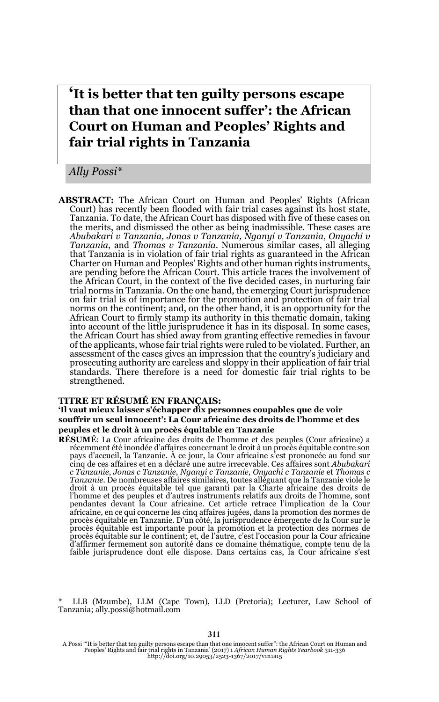# **'It is better that ten guilty persons escape than that one innocent suffer': the African Court on Human and Peoples' Rights and fair trial rights in Tanzania**

*Ally Possi\** 

**ABSTRACT:** The African Court on Human and Peoples' Rights (African Court) has recently been flooded with fair trial cases against its host state, Tanzania. To date, the African Court has disposed with five of these cases on the merits, and dismissed the other as being inadmissible. These cases are *Abubakari v Tanzania, Jonas v Tanzania, Nganyi v Tanzania*, *Onyachi v Tanzania*, and *Thomas v Tanzania*. Numerous similar cases, all alleging that Tanzania is in violation of fair trial rights as guaranteed in the African Charter on Human and Peoples' Rights and other human rights instruments, are pending before the African Court. This article traces the involvement of the African Court, in the context of the five decided cases, in nurturing fair trial norms in Tanzania. On the one hand, the emerging Court jurisprudence on fair trial is of importance for the promotion and protection of fair trial norms on the continent; and, on the other hand, it is an opportunity for the African Court to firmly stamp its authority in this thematic domain, taking into account of the little jurisprudence it has in its disposal. In some cases, the African Court has shied away from granting effective remedies in favour of the applicants, whose fair trial rights were ruled to be violated. Further, an assessment of the cases gives an impression that the country's judiciary and prosecuting authority are careless and sloppy in their application of fair trial standards. There therefore is a need for domestic fair trial rights to be strengthened.

#### **TITRE ET RÉSUMÉ EN FRANÇAIS:**

#### **'Il vaut mieux laisser s'échapper dix personnes coupables que de voir souffrir un seul innocent': La Cour africaine des droits de l'homme et des peuples et le droit à un procès équitable en Tanzanie**

**RÉSUMÉ**: La Cour africaine des droits de l'homme et des peuples (Cour africaine) a récemment été inondée d'affaires concernant le droit à un procès équitable contre son pays d'accueil, la Tanzanie. À ce jour, la Cour africaine s'est prononcée au fond sur cinq de ces affaires et en a déclaré une autre irrecevable. Ces affaires sont *Abubakari c Tanzanie*, *Jonas c Tanzanie*, *Nganyi c Tanzanie*, *Onyachi c Tanzanie* et *Thomas c Tanzanie*. De nombreuses affaires similaires, toutes alléguant que la Tanzanie viole le droit à un procès équitable tel que garanti par la Charte africaine des droits de<br>l'homme et des peuples et d'autres instruments relatifs aux droits de l'homme, sont<br>pendantes devant la Cour africaine. Cet article retrace africaine, en ce qui concerne les cinq affaires jugées, dans la promotion des normes de procès équitable en Tanzanie. D'un côté, la jurisprudence émergente de la Cour sur le procès équitable est importante pour la promotion et la protection des normes de procès équitable sur le continent; et, de l'autre, c'est l'occasion pour la Cour africaine d'affirmer fermement son autorité dans ce domaine thématique, compte tenu de la faible jurisprudence dont elle dispose. Dans certains cas, la Cour africaine s'est

LLB (Mzumbe), LLM (Cape Town), LLD (Pretoria); Lecturer, Law School of Tanzania; ally.possi@hotmail.com

A Possi "'It is better that ten guilty persons escape than that one innocent suffer": the African Court on Human and<br>Peoples' Rights and fair trial rights in Tanzania' (2017) 1 African Human Rights Yearbook 311-336<br>http://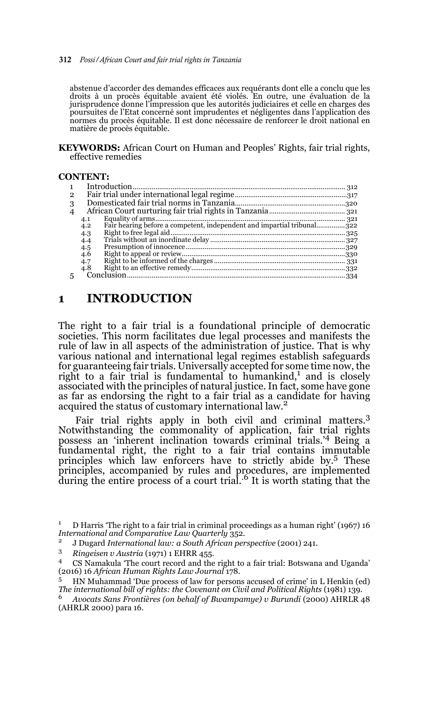abstenue d'accorder des demandes efficaces aux requérants dont elle a conclu que les droits à un procès équitable avaient été violés. En outre, une évaluation de la jurisprudence donne l'impression que les autorités judiciaires et celle en charges des poursuites de l'Etat concerné sont imprudentes et négligentes dans l'application des normes du procès équitable. Il est donc nécessaire de renforcer le droit national en matière de procès équitable.

**KEYWORDS:** African Court on Human and Peoples' Rights, fair trial rights, effective remedies

#### **CONTENT:**

| $\mathbf{1}$   |     |  |  |
|----------------|-----|--|--|
| $\overline{2}$ |     |  |  |
| 3              |     |  |  |
| $\overline{4}$ |     |  |  |
|                | 4.1 |  |  |
|                | 4.2 |  |  |
|                | 4.3 |  |  |
|                | 4.4 |  |  |
|                | 4.5 |  |  |
|                | 4.6 |  |  |
|                | 4.7 |  |  |
|                | 4.8 |  |  |
| 5              |     |  |  |
|                |     |  |  |

## **1 INTRODUCTION**

The right to a fair trial is a foundational principle of democratic societies. This norm facilitates due legal processes and manifests the rule of law in all aspects of the administration of justice. That is why various national and international legal regimes establish safeguards for guaranteeing fair trials. Universally accepted for some time now, the right to a fair trial is fundamental to humankind,<sup>1</sup> and is closely associated with the principles of natural justice. In fact, some have gone as far as endorsing the right to a fair trial as a candidate for having acquired the status of customary international law.<sup>2</sup>

Fair trial rights apply in both civil and criminal matters.<sup>3</sup> Notwithstanding the commonality of application, fair trial rights possess an 'inherent inclination towards criminal trials.'4 Being a fundamental right, the right to a fair trial contains immutable principles which law enforcers have to strictly abide by.5 These principles, accompanied by rules and procedures, are implemented during the entire process of a court trial.<sup>6</sup> It is worth stating that the

 $^1$  D Harris 'The right to a fair trial in criminal proceedings as a human right' (1967) 16 International and Comparative Law Quarterly 352.

*I* J Dugard International law: a South African perspective (2001) 241.<br>
<sup>3</sup> Pinagian y Austria (1071) 1 EHPP 455.

<sup>3</sup> *Ringeisen v Austria* (1971) 1 EHRR 455.

 $4$  CS Namakula 'The court record and the right to a fair trial: Botswana and Uganda' (2016) 16 A frican Human Rights Law Journal 178.

<sup>(2016) 16</sup> *African Human Rights Law Journal* 178. 5 HN Muhammad 'Due process of law for persons accused of crime' in L Henkin (ed) *The international bill of rights: the Covenant on Civil and Political Rights* (1981) 139.

<sup>6</sup> *Avocats Sans Frontières (on behalf of Bwampamye) v Burundi* (2000) AHRLR 48 (AHRLR 2000) para 16.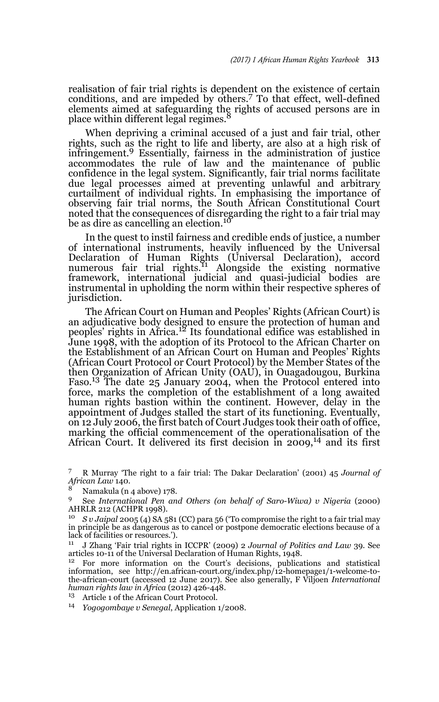realisation of fair trial rights is dependent on the existence of certain conditions, and are impeded by others.<sup>7</sup> To that effect, well-defined elements aimed at safeguarding the rights of accused persons are in place within different legal regimes.<sup>8</sup>

When depriving a criminal accused of a just and fair trial, other rights, such as the right to life and liberty, are also at a high risk of infringement.<sup>9</sup> Essentially, fairness in the administration of justice accommodates the rule of law and the maintenance of public confidence in the legal system. Significantly, fair trial norms facilitate due legal processes aimed at preventing unlawful and arbitrary curtailment of individual rights. In emphasising the importance of observing fair trial norms, the South African Constitutional Court noted that the consequences of disregarding the right to a fair trial may be as dire as cancelling an election.<sup>10</sup>

In the quest to instil fairness and credible ends of justice, a number of international instruments, heavily influenced by the Universal Declaration of Human Rights (Universal Declaration), accord numerous fair trial rights.11 Alongside the existing normative framework, international judicial and quasi-judicial bodies are instrumental in upholding the norm within their respective spheres of jurisdiction.

The African Court on Human and Peoples' Rights (African Court) is an adjudicative body designed to ensure the protection of human and<br>peoples' rights in Africa.<sup>12</sup> Its foundational edifice was established in June 1998, with the adoption of its Protocol to the African Charter on the Establishment of an African Court on Human and Peoples' Rights (African Court Protocol or Court Protocol) by the Member States of the then Organization of African Unity (OAU), in Ouagadougou, Burkina Faso.13 The date 25 January 2004, when the Protocol entered into force, marks the completion of the establishment of a long awaited human rights bastion within the continent. However, delay in the appointment of Judges stalled the start of its functioning. Eventually, on 12 July 2006, the first batch of Court Judges took their oath of office, marking the official commencement of the operationalisation of the African Court. It delivered its first decision in  $2009$ ,<sup>14</sup> and its first

<sup>8</sup> Namakula (n 4 above) 178.

<sup>7</sup> R Murray 'The right to a fair trial: The Dakar Declaration' (2001) 45 *Journal of African Law* 140.

<sup>9</sup> See *International Pen and Others (on behalf of Saro-Wiwa) v Nigeria* (2000) AHRLR 212 (ACHPR 1998).

<sup>10</sup> *S v Jaipal* 2005 (4) SA 581 (CC) para 56 ('To compromise the right to a fair trial may in principle be as dangerous as to cancel or postpone democratic elections because of a lack of facilities or resources.').

<sup>11</sup> J Zhang 'Fair trial rights in ICCPR' (2009) 2 *Journal of Politics and Law* 39. See articles 10-11 of the Universal Declaration of Human Rights, 1948.

<sup>&</sup>lt;sup>12</sup> For more information on the Court's decisions, publications and statistical information, see http://en.african-court.org/index.php/12-homepage1/1-welcome-to-the-african-court (accessed 12 June 2017). See also generally, F Viljoen *International human rights law in Africa* (2012) 426-448.

<sup>&</sup>lt;sup>13</sup> Article 1 of the African Court Protocol.

<sup>14</sup> *Yogogombaye v Senegal*, Application 1/2008.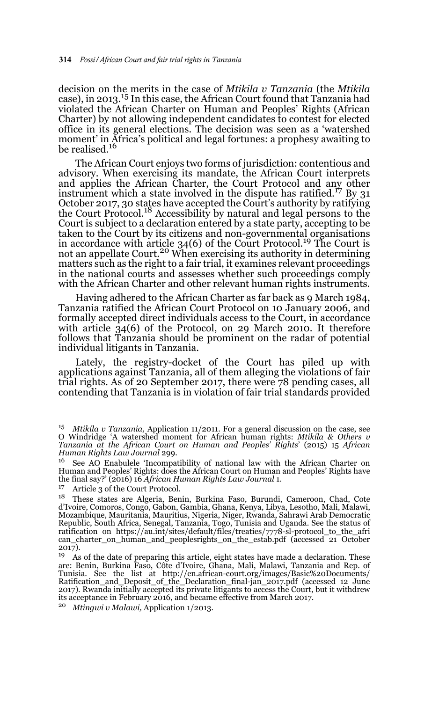decision on the merits in the case of *Mtikila v Tanzania* (the *Mtikila* case), in 2013.15 In this case, the African Court found that Tanzania had violated the African Charter on Human and Peoples' Rights (African Charter) by not allowing independent candidates to contest for elected office in its general elections. The decision was seen as a 'watershed moment' in Africa's political and legal fortunes: a prophesy awaiting to be realised.<sup>16</sup>

The African Court enjoys two forms of jurisdiction: contentious and advisory. When exercising its mandate, the African Court interprets and applies the African Charter, the Court Protocol and any other instrument which a state involved in the dispute has ratified.<sup>17</sup> By 31 October 2017, 30 states have accepted the Court's authority by ratifying<br>the Court Protocol.<sup>18</sup> Accessibility by natural and legal persons to the Court is subject to a declaration entered by a state party, accepting to be taken to the Court by its citizens and non-governmental organisations in accordance with article 34(6) of the Court Protocol.19 The Court is not an appellate Court.<sup>20</sup> When exercising its authority in determining matters such as the right to a fair trial, it examines relevant proceedings in the national courts and assesses whether such proceedings comply with the African Charter and other relevant human rights instruments.

Having adhered to the African Charter as far back as 9 March 1984, Tanzania ratified the African Court Protocol on 10 January 2006, and formally accepted direct individuals access to the Court, in accordance with article 34(6) of the Protocol, on 29 March 2010. It therefore follows that Tanzania should be prominent on the radar of potential individual litigants in Tanzania.

Lately, the registry-docket of the Court has piled up with applications against Tanzania, all of them alleging the violations of fair trial rights. As of 20 September 2017, there were 78 pending cases, all contending that Tanzania is in violation of fair trial standards provided

<sup>15</sup> *Mtikila v Tanzania,* Application 11/2011. For a general discussion on the case, see O Windridge 'A watershed moment for African human rights: *Mtikila & Others v Tanzania at the African Court on Human and Peoples' Rights*' (2015) 15 *African Human Rights Law Journal* 299.

<sup>16</sup> See AO Enabulele 'Incompatibility of national law with the African Charter on Human and Peoples' Rights: does the African Court on Human and Peoples' Rights have the final say?' (2016) 16 *African Human Rights Law Journal* 1.<br><sup>17</sup> Article 3 of the Court Protocol.<br><sup>18</sup> These states are Alexia. Parin, Purking Fase, Purundi.

<sup>18</sup> These states are Algeria, Benin, Burkina Faso, Burundi, Cameroon, Chad, Cote d'Ivoire, Comoros, Congo, Gabon, Gambia, Ghana, Kenya, Libya, Lesotho, Mali, Malawi, Mozambique, Mauritania, Mauritius, Nigeria, Niger, Rwanda, Sahrawi Arab Democratic Republic, South Africa, Senegal, Tanzania, Togo, Tunisia and Uganda. See the status of ratification on https://au.int/sites/default/files/treaties/7778-sl-protocol\_to\_the\_afri can\_charter\_on\_human\_and\_peoplesrights\_on\_the\_estab.pdf (accessed 21 October  $^{2017)}$ .

<sup>&</sup>lt;sup>19</sup> As of the date of preparing this article, eight states have made a declaration. These are: Benin, Burkina Faso, Côte d'Ivoire, Ghana, Mali, Malawi, Tanzania and Rep. of Tunisia. See the list at http://en.african-court.org/images/Basic%20Documents/ Ratification\_and\_Deposit\_of\_the\_Declaration\_final-jan\_2017.pdf (accessed 12 June 2017). Rwanda initially accepted its private litigants to access the Court, but it withdrew its acceptance in February 2016, and became effective from March 2017.

<sup>20</sup> *Mtingwi v Malawi,* Application 1/2013.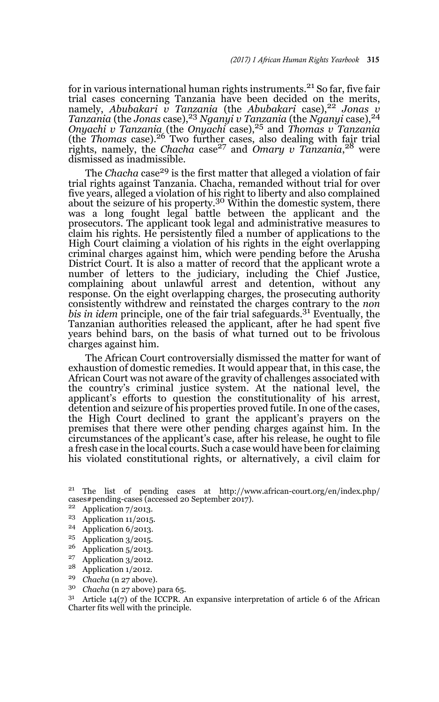for in various international human rights instruments.<sup>21</sup> So far, five fair trial cases concerning Tanzania have been decided on the merits,<br>namely, *Abubakari v Tanzania* (the *Abubakari* case),<sup>22</sup> *Jonas v Tanzania* (the *Jonas* case),<sup>23</sup> *Nganyi v Tanzania* (the *Nganyi* case),<sup>24</sup> *Onyachi v Tanzania* (the *Onyachi* case),25 and *Thomas v Tanzania* (the *Thomas* case).26 Two further cases, also dealing with fair trial rights, namely, the *Chacha* case<sup>27</sup> and *Omary v Tanzania*,<sup>28</sup> were dismissed as inadmissible.

The *Chacha* case<sup>29</sup> is the first matter that alleged a violation of fair trial rights against Tanzania. Chacha, remanded without trial for over five years, alleged a violation of his right to liberty and also complained about the seizure of his property.<sup>30</sup> Within the domestic system, there was a long fought legal battle between the applicant and the prosecutors. The applicant took legal and administrative measures to claim his rights. He persistently filed a number of applications to the High Court claiming a violation of his rights in the eight overlapping criminal charges against him, which were pending before the Arusha District Court. It is also a matter of record that the applicant wrote a number of letters to the judiciary, including the Chief Justice, complaining about unlawful arrest and detention, without any response. On the eight overlapping charges, the prosecuting authority consistently withdrew and reinstated the charges contrary to the *non* bis in idem principle, one of the fair trial safeguards.<sup>31</sup> Eventually, the Tanzanian authorities released the applicant, after he had spent five years behind bars, on the basis of what turned out to be frivolous charges against him.

The African Court controversially dismissed the matter for want of exhaustion of domestic remedies. It would appear that, in this case, the African Court was not aware of the gravity of challenges associated with the country's criminal justice system. At the national level, the applicant's efforts to question the constitutionality of his arrest, detention and seizure of his properties proved futile. In one of the cases, the High Court declined to grant the applicant's prayers on the premises that there were other pending charges against him. In the circumstances of the applicant's case, after his release, he ought to file a fresh case in the local courts. Such a case would have been for claiming his violated constitutional rights, or alternatively, a civil claim for

<sup>21</sup> The list of pending cases at http://www.african-court.org/en/index.php/ cases#pending-cases (accessed 20 September 2017).

- <sup>22</sup> Application 7/2013.<br><sup>23</sup> Application 11/2015
- <sup>23</sup> Application 11/2015.
- <sup>24</sup> Application 6/2013.
- Application 3/2015.
- <sup>26</sup> Application 5/2013.
- <sup>27</sup> Application 3/2012.
- Application 1/2012.
- <sup>29</sup> *Chacha* (n 27 above).
- <sup>30</sup> *Chacha* (n 27 above) para 65.

 $31$  Article 14(7) of the ICCPR. An expansive interpretation of article 6 of the African Charter fits well with the principle.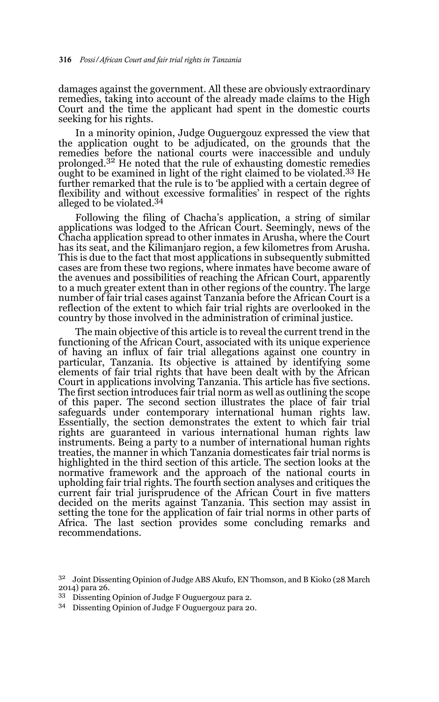damages against the government. All these are obviously extraordinary remedies, taking into account of the already made claims to the High Court and the time the applicant had spent in the domestic courts seeking for his rights.

In a minority opinion, Judge Ouguergouz expressed the view that the application ought to be adjudicated, on the grounds that the remedies before the national courts were inaccessible and unduly prolonged.32 He noted that the rule of exhausting domestic remedies ought to be examined in light of the right claimed to be violated.33 He further remarked that the rule is to 'be applied with a certain degree of flexibility and without excessive formalities' in respect of the rights alleged to be violated.<sup>34</sup>

Following the filing of Chacha's application, a string of similar applications was lodged to the African Court. Seemingly, news of the Chacha application spread to other inmates in Arusha, where the Court has its seat, and the Kilimanjaro region, a few kilometres from Arusha. This is due to the fact that most applications in subsequently submitted cases are from these two regions, where inmates have become aware of the avenues and possibilities of reaching the African Court, apparently to a much greater extent than in other regions of the country. The large number of fair trial cases against Tanzania before the African Court is a reflection of the extent to which fair trial rights are overlooked in the country by those involved in the administration of criminal justice.

The main objective of this article is to reveal the current trend in the functioning of the African Court, associated with its unique experience of having an influx of fair trial allegations against one country in particular, Tanzania. Its objective is attained by identifying some elements of fair trial rights that have been dealt with by the African Court in applications involving Tanzania. This article has five sections. The first section introduces fair trial norm as well as outlining the scope of this paper. The second section illustrates the place of fair trial safeguards under contemporary international human rights law. Essentially, the section demonstrates the extent to which fair trial rights are guaranteed in various international human rights law instruments. Being a party to a number of international human rights treaties, the manner in which Tanzania domesticates fair trial norms is highlighted in the third section of this article. The section looks at the normative framework and the approach of the national courts in upholding fair trial rights. The fourth section analyses and critiques the current fair trial jurisprudence of the African Court in five matters decided on the merits against Tanzania. This section may assist in setting the tone for the application of fair trial norms in other parts of Africa. The last section provides some concluding remarks and recommendations.

<sup>34</sup> Dissenting Opinion of Judge F Ouguergouz para 20.

<sup>&</sup>lt;sup>32</sup> Joint Dissenting Opinion of Judge ABS Akufo, EN Thomson, and B Kioko (28 March 2014) para 26.

<sup>33</sup> Dissenting Opinion of Judge F Ouguergouz para 2.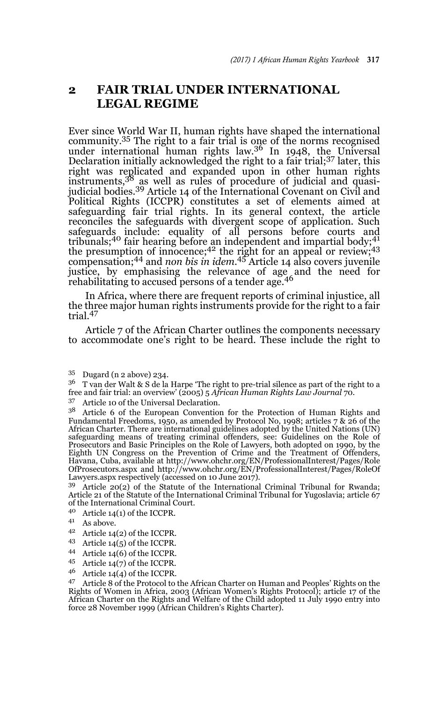# **2 FAIR TRIAL UNDER INTERNATIONAL LEGAL REGIME**

Ever since World War II, human rights have shaped the international community.35 The right to a fair trial is one of the norms recognised under international human rights law.<sup>36</sup> In 1948, the Universal Declaration initially acknowledged the right to a fair trial;<sup>37</sup> later, this right was replicated and expanded upon in other human rights instruments,38 as well as rules of procedure of judicial and quasijudicial bodies.39 Article 14 of the International Covenant on Civil and Political Rights (ICCPR) constitutes a set of elements aimed at safeguarding fair trial rights. In its general context, the article reconciles the safeguards with divergent scope of application. Such safeguards include: equality of all persons before courts and tribunals;<sup>40</sup> fair hearing before an independent and impartial body;<sup>41</sup> the presumption of innocence; $4^2$  the right for an appeal or review; $4^3$ compensation;44 and *non bis in idem*. 45 Article 14 also covers juvenile justice, by emphasising the relevance of age and the need for rehabilitating to accused persons of a tender age.<sup>46</sup>

In Africa, where there are frequent reports of criminal injustice, all the three major human rights instruments provide for the right to a fair trial.47

Article 7 of the African Charter outlines the components necessary to accommodate one's right to be heard. These include the right to

<sup>36</sup> T van der Walt & S de la Harpe 'The right to pre-trial silence as part of the right to a free and fair trial: an overview' (2005) 5 *African Human Rights Law Journal* 70.

 $37$  Article 10 of the Universal Declaration.<br> $38$  Article 6 of the European Convention

<sup>39</sup> Article 20(2) of the Statute of the International Criminal Tribunal for Rwanda; Article 21 of the Statute of the International Criminal Tribunal for Yugoslavia; article 67 of the International Criminal Court.

<sup>43</sup> Article 14(5) of the ICCPR.

- <sup>45</sup> Article 14(7) of the ICCPR.
- <sup>46</sup> Article 14(4) of the ICCPR.

<sup>47</sup> Article 8 of the Protocol to the African Charter on Human and Peoples' Rights on the Rights of Women in Africa, 2003 (African Women's Rights Protocol); article 17 of the African Charter on the Rights and Welfare of the Child adopted 11 July 1990 entry into force 28 November 1999 (African Children's Rights Charter).

<sup>35</sup> Dugard (n 2 above) 234.

<sup>&</sup>lt;sup>38</sup> Article 6 of the European Convention for the Protection of Human Rights and Fundamental Freedoms, 1950, as amended by Protocol No, 1998; articles 7 & 26 of the African Charter. There are international guidelines adopted by the United Nations (UN) safeguarding means of treating criminal offenders, see: Guidelines on the Role of Prosecutors and Basic Principles on the Role of Lawyers, both adopted on 1990, by the Eighth UN Congress on the Prevention of Crime and the Treatment of Offenders, Havana, Cuba, available at http://www.ohchr.org/EN/ProfessionalInterest/Pages/Role OfProsecutors.aspx and http://www.ohchr.org/EN/ProfessionalInterest/Pages/RoleOf Lawyers.aspx respectively (accessed on 10 June 2017).

 $^{40}$  Article 14(1) of the ICCPR.

 $^{41}$  As above.

Article  $14(2)$  of the ICCPR.

<sup>44</sup> Article 14(6) of the ICCPR.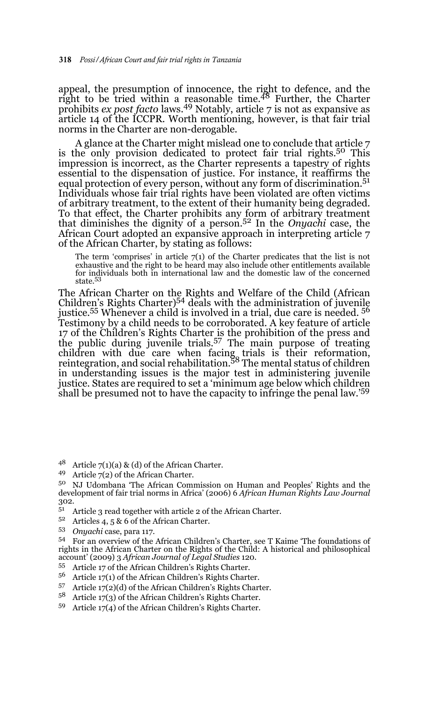appeal, the presumption of innocence, the right to defence, and the right to be tried within a reasonable time.48 Further, the Charter prohibits *ex post facto* laws.49 Notably, article 7 is not as expansive as article 14 of the ICCPR. Worth mentioning, however, is that fair trial norms in the Charter are non-derogable.

A glance at the Charter might mislead one to conclude that article 7 is the only provision dedicated to protect fair trial rights.50 This impression is incorrect, as the Charter represents a tapestry of rights essential to the dispensation of justice. For instance, it reaffirms the equal protection of every person, without any form of discrimination.<sup>51</sup> Individuals whose fair trial rights have been violated are often victims of arbitrary treatment, to the extent of their humanity being degraded. To that effect, the Charter prohibits any form of arbitrary treatment that diminishes the dignity of a person.52 In the *Onyachi* case, the African Court adopted an expansive approach in interpreting article 7 of the African Charter, by stating as follows:

The term 'comprises' in article 7(1) of the Charter predicates that the list is not exhaustive and the right to be heard may also include other entitlements available for individuals both in international law and the domestic law of the concerned state.<sup>53</sup>

The African Charter on the Rights and Welfare of the Child (African Children's Rights Charter)<sup>54</sup> deals with the administration of juvenile justice.<sup>55</sup> Whenever a child is involved in a trial, due care is needed.  $5<sup>6</sup>$ Testimony by a child needs to be corroborated. A key feature of article 17 of the Children's Rights Charter is the prohibition of the press and the public during juvenile trials.57 The main purpose of treating children with due care when facing trials is their reformation,<br>reintegration, and social rehabilitation.<sup>58</sup> The mental status of children in understanding issues is the major test in administering juvenile justice. States are required to set a 'minimum age below which children shall be presumed not to have the capacity to infringe the penal law.'<sup>59</sup>

- <sup>48</sup> Article 7(1)(a) & (d) of the African Charter.
- <sup>49</sup> Article 7(2) of the African Charter.
- <sup>50</sup> NJ Udombana 'The African Commission on Human and Peoples' Rights and the development of fair trial norms in Africa' (2006) 6 *African Human Rights Law Journal*  $302.$ <sup>51</sup>
- <sup>51</sup> Article 3 read together with article 2 of the African Charter.<br><sup>52</sup> Articles 4  $\epsilon$  & 6 of the African Charter.
- Articles 4, 5  $\&$  6 of the African Charter.
- <sup>53</sup> *Onyachi* case, para 117.

<sup>54</sup> For an overview of the African Children's Charter, see T Kaime 'The foundations of rights in the African Charter on the Rights of the Child: A historical and philosophical account' (2009) 3 *African Journal of Legal Studies* 120.<br>
<sup>55</sup> Article 17 of the African Children's Rights Charter.<br>
<sup>56</sup> Article 17(1) of the African Children's Rights Charter.

- 
- <sup>56</sup> Article 17(1) of the African Children's Rights Charter.<br> $\frac{57}{2}$  Article 17(0)(d) of the African Children's Rights Char
- Article 17(2)(d) of the African Children's Rights Charter.
- <sup>58</sup> Article 17(3) of the African Children's Rights Charter.
- <sup>59</sup> Article 17(4) of the African Children's Rights Charter.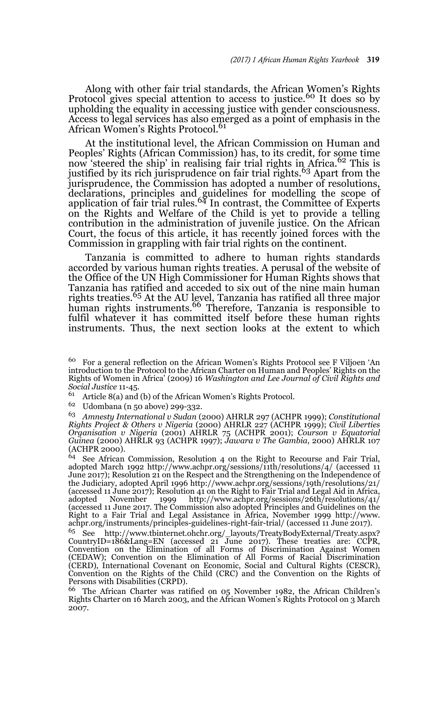Along with other fair trial standards, the African Women's Rights Protocol gives special attention to access to justice.<sup>60</sup> It does so by upholding the equality in accessing justice with gender consciousness. Access to legal services has also emerged as a point of emphasis in the African Women's Rights Protocol.<sup>61</sup>

At the institutional level, the African Commission on Human and Peoples' Rights (African Commission) has, to its credit, for some time now 'steered the ship' in realising fair trial rights in Africa.<sup>62</sup> This is justified by its rich jurisprudence on fair trial rights.<sup>63</sup> Apart from the jurisprudence, the Commission has adopted a number of resolutions, declarations, principles and guidelines for modelling the scope of application of fair trial rules.64 In contrast, the Committee of Experts on the Rights and Welfare of the Child is yet to provide a telling contribution in the administration of juvenile justice. On the African Court, the focus of this article, it has recently joined forces with the Commission in grappling with fair trial rights on the continent.

Tanzania is committed to adhere to human rights standards accorded by various human rights treaties. A perusal of the website of the Office of the UN High Commissioner for Human Rights shows that Tanzania has ratified and acceded to six out of the nine main human rights treaties.<sup>65</sup> At the AU level, Tanzania has ratified all three major human rights instruments.<sup>66</sup> Therefore, Tanzania is responsible to fulfil whatever it has committed itself before these human rights instruments. Thus, the next section looks at the extent to which

<sup>63</sup> *Amnesty International v Sudan* (2000) AHRLR 297 (ACHPR 1999); *Constitutional Rights Project & Others v Nigeria* (2000) AHRLR 227 (ACHPR 1999); *Civil Liberties Organisation v Nigeria* (2001) AHRLR 75 (ACHPR 2001); *Courson v Equatorial Guinea* (2000) AHRLR 93 (ACHPR 1997); *Jawara v The Gambia*, 2000) AHRLR 107 (ACHPR 2000).

<sup>64</sup> See African Commission, Resolution 4 on the Right to Recourse and Fair Trial, adopted March 1992 http://www.achpr.org/sessions/11th/resolutions/4/ (accessed 11 June 2017); Resolution 21 on the Respect and the Strengthening on the Independence of the Judiciary, adopted April 1996 http://www.achpr.org/sessions/19th/resolutions/21/ (accessed 11 June 2017); Resolution 41 on the Right to Fair Trial and Legal Aid in Africa, adopted November 1999 http://www.achpr.org/sessions/26th/resolutions/41/ (accessed 11 June 2017. The Commission also adopted Principles and Guidelines on the Right to a Fair Trial and Legal Assistance in Africa, November 1999 http://www. achpr.org/instruments/principles-guidelines-right-fair-trial/ (accessed 11 June 2017).

<sup>65</sup> See http://www.tbinternet.ohchr.org/\_layouts/TreatyBodyExternal/Treaty.aspx? CountryID=186&Lang=EN (accessed 21 June 2017). These treaties are: CCPR, Convention on the Elimination of all Forms of Discrimination Against Women (CEDAW); Convention on the Elimination of All Forms of Racial Discrimination (CERD), International Covenant on Economic, Social and Cultural Rights (CESCR), Convention on the Rights of the Child (CRC) and the Convention on the Rights of Persons with Disabilities (CRPD).

<sup>66</sup> The African Charter was ratified on 05 November 1982, the African Children's Rights Charter on 16 March 2003, and the African Women's Rights Protocol on 3 March 2007.

<sup>60</sup> For a general reflection on the African Women's Rights Protocol see F Viljoen 'An introduction to the Protocol to the African Charter on Human and Peoples' Rights on the Rights of Women in Africa' (2009) 16 *Washington and Lee Journal of Civil Rights and Social Justice* 11-45.

Article 8(a) and (b) of the African Women's Rights Protocol.

<sup>62</sup> Udombana (n 50 above) 299-332*.*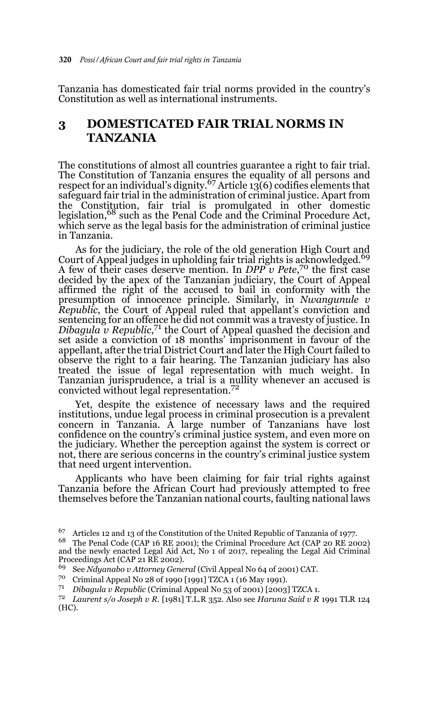Tanzania has domesticated fair trial norms provided in the country's Constitution as well as international instruments.

# **3 DOMESTICATED FAIR TRIAL NORMS IN TANZANIA**

The constitutions of almost all countries guarantee a right to fair trial. The Constitution of Tanzania ensures the equality of all persons and respect for an individual's dignity.<sup>67</sup> Article 13(6) codifies elements that safeguard fair trial in the administration of criminal justice. Apart from the Constitution, fair trial is promulgated in other domestic legislation, <sup>68</sup> such as the Penal Code and the Criminal Procedure Act, which serve as the legal basis for the administration of criminal justice in Tanzania.

As for the judiciary, the role of the old generation High Court and Court of Appeal judges in upholding fair trial rights is acknowledged.<sup>69</sup> A few of their cases deserve mention. In *DPP v Pete*, 70 the first case decided by the apex of the Tanzanian judiciary, the Court of Appeal affirmed the right of the accused to bail in conformity with the presumption of innocence principle. Similarly, in *Nwangunule v Republic*, the Court of Appeal ruled that appellant's conviction and sentencing for an offence he did not commit was a travesty of justice. In *Dibagula v Republic*, 71 the Court of Appeal quashed the decision and set aside a conviction of 18 months' imprisonment in favour of the appellant, after the trial District Court and later the High Court failed to observe the right to a fair hearing. The Tanzanian judiciary has also treated the issue of legal representation with much weight. In Tanzanian jurisprudence, a trial is a nullity whenever an accused is convicted without legal representation.<sup>72</sup>

Yet, despite the existence of necessary laws and the required institutions, undue legal process in criminal prosecution is a prevalent concern in Tanzania. A large number of Tanzanians have lost confidence on the country's criminal justice system, and even more on the judiciary. Whether the perception against the system is correct or not, there are serious concerns in the country's criminal justice system that need urgent intervention.

Applicants who have been claiming for fair trial rights against Tanzania before the African Court had previously attempted to free themselves before the Tanzanian national courts, faulting national laws

- <sup>68</sup> The Penal Code (CAP 16 RE 2001); the Criminal Procedure Act (CAP 20 RE 2002) and the newly enacted Legal Aid Act, No 1 of 2017, repealing the Legal Aid Criminal Proceedings Act (CAP 21 RE 2002).
- <sup>69</sup> See *Ndyanabo v Attorney General* (Civil Appeal No 64 of 2001) CAT.
- <sup>70</sup> Criminal Appeal No 28 of 1990 [1991] TZCA 1 (16 May 1991).
- <sup>71</sup> *Dibagula v Republic* (Criminal Appeal No 53 of 2001) [2003] TZCA 1.

 $^{67}~$  Articles 12 and 13 of the Constitution of the United Republic of Tanzania of 1977.

<sup>72</sup> *Laurent s/o Joseph v R*. [1981] T.L.R 352. Also see *Haruna Said v R* 1991 TLR 124 (HC).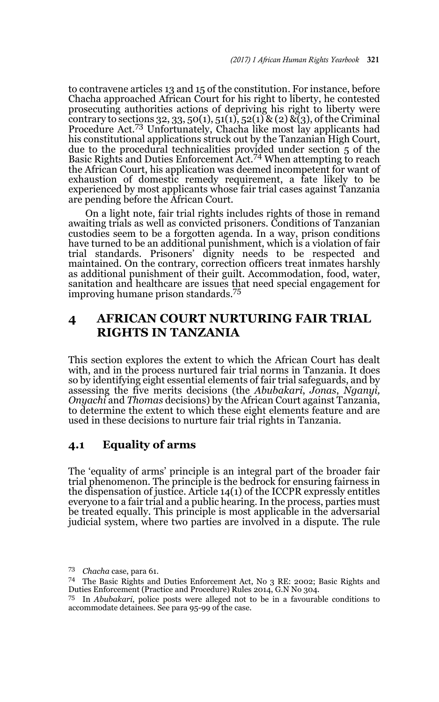to contravene articles 13 and 15 of the constitution. For instance, before Chacha approached African Court for his right to liberty, he contested prosecuting authorities actions of depriving his right to liberty were contrary to sections 32, 33, 50(1), 51(1), 52(1) & (2) & (3), of the Criminal Procedure Act.73 Unfortunately, Chacha like most lay applicants had his constitutional applications struck out by the Tanzanian High Court, due to the procedural technicalities provided under section 5 of the<br>Basic Rights and Duties Enforcement Act.<sup>74</sup> When attempting to reach the African Court, his application was deemed incompetent for want of exhaustion of domestic remedy requirement, a fate likely to be experienced by most applicants whose fair trial cases against Tanzania are pending before the African Court.

On a light note, fair trial rights includes rights of those in remand awaiting trials as well as convicted prisoners. Conditions of Tanzanian custodies seem to be a forgotten agenda. In a way, prison conditions have turned to be an additional punishment, which is a violation of fair trial standards. Prisoners' dignity needs to be respected and maintained. On the contrary, correction officers treat inmates harshly as additional punishment of their guilt. Accommodation, food, water, sanitation and healthcare are issues that need special engagement for improving humane prison standards.<sup>75</sup>

# **4 AFRICAN COURT NURTURING FAIR TRIAL RIGHTS IN TANZANIA**

This section explores the extent to which the African Court has dealt with, and in the process nurtured fair trial norms in Tanzania. It does so by identifying eight essential elements of fair trial safeguards, and by assessing the five merits decisions (the *Abubakari*, *Jonas*, *Nganyi, Onyachi* and *Thomas* decisions) by the African Court against Tanzania, to determine the extent to which these eight elements feature and are used in these decisions to nurture fair trial rights in Tanzania.

### **4.1 Equality of arms**

The 'equality of arms' principle is an integral part of the broader fair trial phenomenon. The principle is the bedrock for ensuring fairness in the dispensation of justice. Article 14(1) of the ICCPR expressly entitles everyone to a fair trial and a public hearing. In the process, parties must be treated equally. This principle is most applicable in the adversarial judicial system, where two parties are involved in a dispute. The rule

<sup>73</sup> *Chacha* case, para 61.

<sup>74</sup> The Basic Rights and Duties Enforcement Act, No 3 RE: 2002; Basic Rights and Duties Enforcement (Practice and Procedure) Rules 2014, G.N No 304.

<sup>75</sup> In *Abubakari*, police posts were alleged not to be in a favourable conditions to accommodate detainees. See para 95-99 of the case.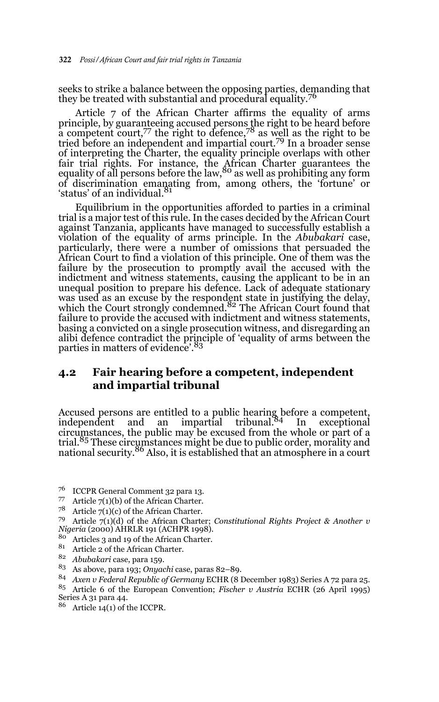seeks to strike a balance between the opposing parties, demanding that they be treated with substantial and procedural equality.<sup>76</sup>

Article 7 of the African Charter affirms the equality of arms principle, by guaranteeing accused persons the right to be heard before a competent court,<sup>77</sup> the right to defence,<sup>78</sup> as well as the right to be tried before an independent and impartial court.<sup>79</sup> In a broader sense of interpreting the Charter, the equality principle overlaps with other fair trial rights. For instance, the African Charter guarantees the<br>equality of all persons before the law, <sup>80</sup> as well as prohibiting any form of discrimination emanating from, among others, the 'fortune' or 'status' of an individual.<sup>81</sup>

Equilibrium in the opportunities afforded to parties in a criminal trial is a major test of this rule. In the cases decided by the African Court against Tanzania, applicants have managed to successfully establish a violation of the equality of arms principle. In the *Abubakari* case, particularly, there were a number of omissions that persuaded the African Court to find a violation of this principle. One of them was the failure by the prosecution to promptly avail the accused with the indictment and witness statements, causing the applicant to be in an unequal position to prepare his defence. Lack of adequate stationary was used as an excuse by the respondent state in justifying the delay, which the Court strongly condemned.<sup>82</sup> The African Court found that failure to provide the accused with indictment and witness statements, basing a convicted on a single prosecution witness, and disregarding an alibi defence contradict the principle of 'equality of arms between the parties in matters of evidence'.<sup>83</sup>

### **4.2 Fair hearing before a competent, independent and impartial tribunal**

Accused persons are entitled to a public hearing before a competent,<br>independent and an impartial tribunal.<sup>84</sup> In exceptional circumstances, the public may be excused from the whole or part of a trial.85 These circumstances might be due to public order, morality and national security.86 Also, it is established that an atmosphere in a court

- <sup>76</sup> ICCPR General Comment 32 para 13.<br><sup>77</sup> Article 7(1)(b) of the African Charter.
- 
- Article 7(1)(v) or the Article 7<sup>8</sup><br>
Article 7(1)(c) of the African Charter.<br>
<sup>79</sup><br>
Article 7(1)(d) of the African Charte
- <sup>79</sup> Article 7(1)(d) of the African Charter; *Constitutional Rights Project & Another v Nigeria* (2000) AHRLR 191 (ACHPR 1998).
- $\frac{80}{1}$  Articles 3 and 19 of the African Charter.
- Article 2 of the African Charter.
- <sup>82</sup> *Abubakari* case, para 159.
- <sup>83</sup> As above*,* para 193; *Onyachi* case, paras 82–89.
- <sup>84</sup> *Axen v Federal Republic of Germany* ECHR (8 December 1983) Series A 72 para 25.
- <sup>85</sup> Article 6 of the European Convention; *Fischer v Austria* ECHR (26 April 1995) Series A 31 para 44.
- <sup>86</sup> Article 14(1) of the ICCPR.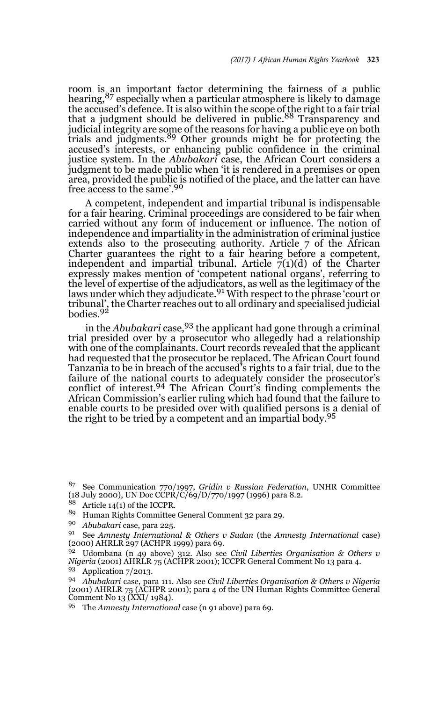room is an important factor determining the fairness of a public<br>hearing,<sup>87</sup> especially when a particular atmosphere is likely to damage the accused's defence. It is also within the scope of the right to a fair trial<br>that a judgment should be delivered in public.<sup>88</sup> Transparency and judicial integrity are some of the reasons for having a public eye on both trials and judgments.89 Other grounds might be for protecting the accused's interests, or enhancing public confidence in the criminal justice system. In the *Abubakari* case, the African Court considers a judgment to be made public when 'it is rendered in a premises or open area, provided the public is notified of the place, and the latter can have free access to the same'.<sup>90</sup>

A competent, independent and impartial tribunal is indispensable for a fair hearing. Criminal proceedings are considered to be fair when carried without any form of inducement or influence. The notion of independence and impartiality in the administration of criminal justice extends also to the prosecuting authority. Article 7 of the African Charter guarantees the right to a fair hearing before a competent, independent and impartial tribunal. Article  $\tilde{7}(1)(d)$  of the Charter expressly makes mention of 'competent national organs', referring to the level of expertise of the adjudicators, as well as the legitimacy of the laws under which they adjudicate.<sup>91</sup> With respect to the phrase 'court or tribunal', the Charter reaches out to all ordinary and specialised judicial<br>bodies.<sup>92</sup>

in the *Abubakari* case, <sup>93</sup> the applicant had gone through a criminal trial presided over by a prosecutor who allegedly had a relationship with one of the complainants. Court records revealed that the applicant had requested that the prosecutor be replaced. The African Court found Tanzania to be in breach of the accused's rights to a fair trial, due to the failure of the national courts to adequately consider the prosecutor's conflict of interest.<sup>94</sup> The African Court's finding complements the African Commission's earlier ruling which had found that the failure to enable courts to be presided over with qualified persons is a denial of the right to be tried by a competent and an impartial body.<sup>95</sup>

<sup>87</sup> See Communication 770/1997, *Gridin v Russian Federation*, UNHR Committee (18 July 2000), UN Doc CCPR/C/69/D/770/1997 (1996) para 8.2.

 $88$  Article 14(1) of the ICCPR.

<sup>89</sup> Human Rights Committee General Comment 32 para 29.

<sup>90</sup> *Abubakari* case, para 225.

<sup>91</sup> See *Amnesty International & Others v Sudan* (the *Amnesty International* case) (2000) AHRLR 297 (ACHPR 1999) para 69.

<sup>92</sup> Udombana (n 49 above) 312. Also see *Civil Liberties Organisation & Others v Nigeria* (2001) AHRLR 75 (ACHPR 2001); ICCPR General Comment No 13 para 4.

<sup>93</sup> Application 7/2013.

<sup>94</sup> *Abubakari* case, para 111. Also see *Civil Liberties Organisation & Others v Nigeria* (2001) AHRLR 75 (ACHPR 2001); para 4 of the UN Human Rights Committee General Comment No 13 (XXI/ 1984).

<sup>95</sup> The *Amnesty International* case (n 91 above) para 69.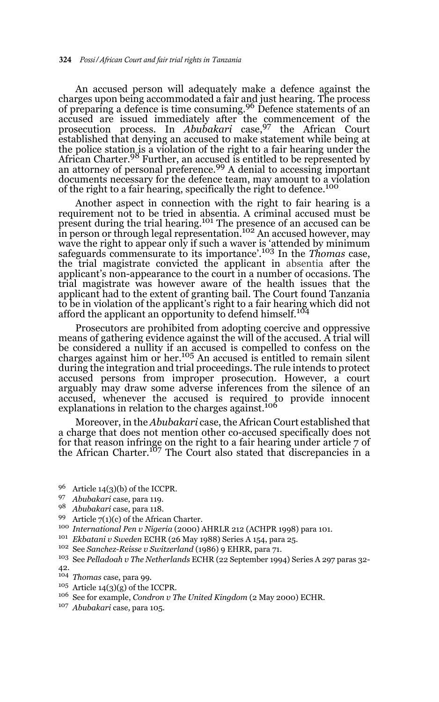An accused person will adequately make a defence against the charges upon being accommodated a fair and just hearing. The process of preparing a defence is time consuming.<sup>96</sup> Defence statements of an accused are issued immediately after the commencement of the prosecution process. In *Abubakari* case,97 the African Court established that denying an accused to make statement while being at the police station is a violation of the right to a fair hearing under the<br>African Charter.<sup>98</sup> Further, an accused is entitled to be represented by an attorney of personal preference.<sup>99</sup> A denial to accessing important documents necessary for the defence team, may amount to a violation of the right to a fair hearing, specifically the right to defence.<sup>100</sup>

Another aspect in connection with the right to fair hearing is a requirement not to be tried in absentia. A criminal accused must be present during the trial hearing.101 The presence of an accused can be in person or through legal representation.<sup>102</sup> An accused however, may wave the right to appear only if such a waver is 'attended by minimum safeguards commensurate to its importance'.103 In the *Thomas* case, the trial magistrate convicted the applicant in absentia after the applicant's non-appearance to the court in a number of occasions. The trial magistrate was however aware of the health issues that the applicant had to the extent of granting bail. The Court found Tanzania to be in violation of the applicant's right to a fair hearing which did not<br>afford the applicant an opportunity to defend himself.<sup>104</sup>

Prosecutors are prohibited from adopting coercive and oppressive means of gathering evidence against the will of the accused. A trial will be considered a nullity if an accused is compelled to confess on the charges against him or her.105 An accused is entitled to remain silent during the integration and trial proceedings. The rule intends to protect accused persons from improper prosecution. However, a court arguably may draw some adverse inferences from the silence of an accused, whenever the accused is required to provide innocent explanations in relation to the charges against.<sup>106</sup>

Moreover, in the *Abubakari* case, the African Court established that a charge that does not mention other co-accused specifically does not for that reason infringe on the right to a fair hearing under article 7 of the African Charter.107 The Court also stated that discrepancies in a

- <sup>96</sup> Article 14(3)(b) of the ICCPR.
- <sup>97</sup> *Abubakari* case, para 119.
- 
- <sup>98</sup> *Abubakari* case, para 118.
- <sup>100</sup> International Pen v Nigeria (2000) AHRLR 212 (ACHPR 1998) para 101.
- <sup>101</sup> *Ekbatani v Sweden* ECHR (26 May 1988) Series A 154, para 25.
- <sup>102</sup> See *Sanchez-Reisse v Switzerland* (1986) 9 EHRR, para 71.
- <sup>103</sup> See *Pelladoah v The Netherlands* ECHR (22 September 1994) Series A 297 paras 32- 42.
- <sup>104</sup> *Thomas* case, para 99.
- <sup>105</sup> Article 14(3)(g) of the ICCPR.
- <sup>106</sup> See for example, *Condron v The United Kingdom* (2 May 2000) ECHR.
- <sup>107</sup> *Abubakari* case, para 105.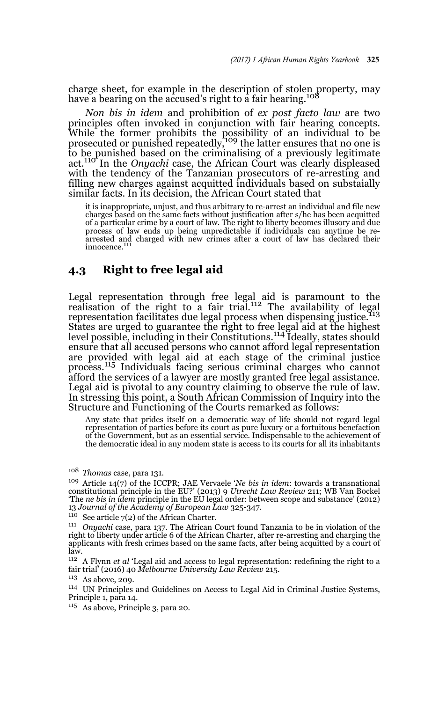charge sheet, for example in the description of stolen property, may<br>have a bearing on the accused's right to a fair hearing.<sup>108</sup>

*Non bis in idem* and prohibition of *ex post facto law* are two principles often invoked in conjunction with fair hearing concepts. While the former prohibits the possibility of an individual to be prosecuted or punished repeatedly, $109$  the latter ensures that no one is to be punished based on the criminalising of a previously legitimate act.110 In the *Onyachi* case, the African Court was clearly displeased with the tendency of the Tanzanian prosecutors of re-arresting and filling new charges against acquitted individuals based on substaially similar facts. In its decision, the African Court stated that

it is inappropriate, unjust, and thus arbitrary to re-arrest an individual and file new charges based on the same facts without justification after s/he has been acquitted of a particular crime by a court of law. The right to liberty becomes illusory and due process of law ends up being unpredictable if individuals can anytime be rearrested and charged with new crimes after a court of law has declared their innocence.<sup>111</sup>

#### **4.3 Right to free legal aid**

Legal representation through free legal aid is paramount to the realisation of the right to a fair trial.112 The availability of legal representation facilitates due legal process when dispensing justice.<sup>113</sup> States are urged to guarantee the right to free legal aid at the highest level possible, including in their Constitutions.114 Ideally, states should ensure that all accused persons who cannot afford legal representation are provided with legal aid at each stage of the criminal justice process.<sup>115</sup> Individuals facing serious criminal charges who cannot afford the services of a lawyer are mostly granted free legal assistance. Legal aid is pivotal to any country claiming to observe the rule of law. In stressing this point, a South African Commission of Inquiry into the Structure and Functioning of the Courts remarked as follows:

Any state that prides itself on a democratic way of life should not regard legal representation of parties before its court as pure luxury or a fortuitous benefaction of the Government, but as an essential service. Indispensable to the achievement of the democratic ideal in any modem state is access to its courts for all its inhabitants

<sup>115</sup> As above, Principle 3, para 20.

<sup>108</sup> *Thomas* case, para 131.

<sup>109</sup> Article 14(7) of the ICCPR; JAE Vervaele '*Ne bis in idem*: towards a transnational constitutional principle in the EU?' (2013) 9 *Utrecht Law Review* 211; WB Van Bockel 'The *ne bis in idem* principle in the EU legal order: between scope and substance' (2012) 13 *Journal of the Academy of European Law* 325-347.

<sup>110</sup> See article 7(2) of the African Charter. 111 *Onyachi* case, para 137. The African Court found Tanzania to be in violation of the right to liberty under article 6 of the African Charter, after re-arresting and charging the applicants with fresh crimes based on the same facts, after being acquitted by a court of law.

<sup>112</sup> A Flynn *et al* 'Legal aid and access to legal representation: redefining the right to a fair trial' (2016) 40 *Melbourne University Law Review* 215.

<sup>113</sup> As above, 209.

<sup>114</sup> UN Principles and Guidelines on Access to Legal Aid in Criminal Justice Systems, Principle 1, para 14.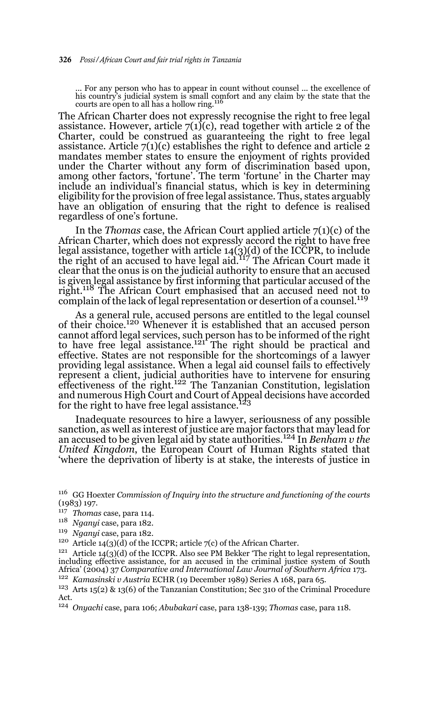... For any person who has to appear in count without counsel ... the excellence of his country's judicial system is small comfort and any claim by the state that the courts are open to all has a hollow ring.<sup>116</sup>

The African Charter does not expressly recognise the right to free legal assistance. However, article  $7(1)(c)$ , read together with article 2 of the Charter, could be construed as guaranteeing the right to free legal assistance. Article  $7(1)(c)$  establishes the right to defence and article 2 mandates member states to ensure the enjoyment of rights provided under the Charter without any form of discrimination based upon, among other factors, 'fortune'. The term 'fortune' in the Charter may include an individual's financial status, which is key in determining eligibility for the provision of free legal assistance. Thus, states arguably have an obligation of ensuring that the right to defence is realised regardless of one's fortune.

In the *Thomas* case, the African Court applied article 7(1)(c) of the African Charter, which does not expressly accord the right to have free legal assistance, together with article 14(3)(d) of the ICCPR, to include the right of an accused to have legal aid.117 The African Court made it clear that the onus is on the judicial authority to ensure that an accused is given legal assistance by first informing that particular accused of the right.<sup>118</sup> The African Court emphasised that an accused need not to complain of the lack of legal representation or desertion of a counsel.<sup>119</sup>

As a general rule, accused persons are entitled to the legal counsel of their choice.120 Whenever it is established that an accused person cannot afford legal services, such person has to be informed of the right to have free legal assistance.<sup>121</sup> The right should be practical and effective. States are not responsible for the shortcomings of a lawyer providing legal assistance. When a legal aid counsel fails to effectively represent a client, judicial authorities have to intervene for ensuring effectiveness of the right.<sup>122</sup> The Tanzanian Constitution, legislation and numerous High Court and Court of Appeal decisions have accorded for the right to have free legal assistance.<sup>123</sup>

Inadequate resources to hire a lawyer, seriousness of any possible sanction, as well as interest of justice are major factors that may lead for an accused to be given legal aid by state authorities.124 In *Benham v the United Kingdom*, the European Court of Human Rights stated that 'where the deprivation of liberty is at stake, the interests of justice in

<sup>116</sup> GG Hoexter *Commission of Inquiry into the structure and functioning of the courts* (1983) 197.

<sup>117</sup> *Thomas* case, para 114.

<sup>118</sup> *Nganyi* case, para 182.

<sup>119</sup> *Nganyi* case, para 182.

<sup>&</sup>lt;sup>120</sup> Article 14(3)(d) of the ICCPR; article 7(c) of the African Charter.<br><sup>121</sup> Article 14(3)(d) of the ICCPR. Also see PM Bekker 'The right to legal representation, including effective assistance, for an accused in the criminal justice system of South Africa' (2004) 37 *Comparative and International Law Journal of Southern Africa* 173. <sup>122</sup> *Kamasinski v Austria* ECHR (19 December 1989) Series A 168, para 65.

<sup>123</sup> Arts 15(2) & 13(6) of the Tanzanian Constitution; Sec 310 of the Criminal Procedure Act.

<sup>124</sup> *Onyachi* case, para 106; *Abubakari* case, para 138-139; *Thomas* case, para 118.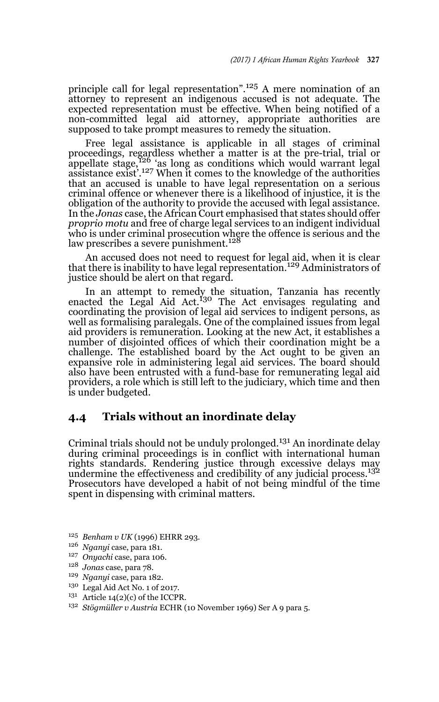principle call for legal representation".125 A mere nomination of an attorney to represent an indigenous accused is not adequate. The expected representation must be effective. When being notified of a non-committed legal aid attorney, appropriate authorities are supposed to take prompt measures to remedy the situation.

Free legal assistance is applicable in all stages of criminal proceedings, regardless whether a matter is at the pre-trial, trial or<br>appellate stage,<sup>126</sup> 'as long as conditions which would warrant legal assistance exist'.127 When it comes to the knowledge of the authorities that an accused is unable to have legal representation on a serious criminal offence or whenever there is a likelihood of injustice, it is the obligation of the authority to provide the accused with legal assistance. In the *Jonas* case, the African Court emphasised that states should offer *proprio motu* and free of charge legal services to an indigent individual who is under criminal prosecution where the offence is serious and the<br>law prescribes a severe punishment.<sup>128</sup>

An accused does not need to request for legal aid, when it is clear that there is inability to have legal representation.<sup>129</sup> Administrators of justice should be alert on that regard.

In an attempt to remedy the situation, Tanzania has recently enacted the Legal Aid Act.<sup>130</sup> The Act envisages regulating and coordinating the provision of legal aid services to indigent persons, as well as formalising paralegals. One of the complained issues from legal aid providers is remuneration. Looking at the new Act, it establishes a number of disjointed offices of which their coordination might be a challenge. The established board by the Act ought to be given an expansive role in administering legal aid services. The board should also have been entrusted with a fund-base for remunerating legal aid providers, a role which is still left to the judiciary, which time and then is under budgeted.

#### **4.4 Trials without an inordinate delay**

Criminal trials should not be unduly prolonged.<sup>131</sup> An inordinate delay during criminal proceedings is in conflict with international human rights standards. Rendering justice through excessive delays may undermine the effectiveness and credibility of any judicial process.<sup>132</sup> Prosecutors have developed a habit of not being mindful of the time spent in dispensing with criminal matters.

- <sup>125</sup> *Benham v UK* (1996) EHRR 293.
- <sup>126</sup> *Nganyi* case, para 181.
- <sup>127</sup> *Onyachi* case, para 106.
- <sup>128</sup> *Jonas* case, para 78.
- <sup>129</sup> *Nganyi* case, para 182.
- <sup>130</sup> Legal Aid Act No. 1 of 2017.
- $131$  Article 14(2)(c) of the ICCPR.
- <sup>132</sup> *Stögmüller v Austria* ECHR (10 November 1969) Ser A 9 para 5.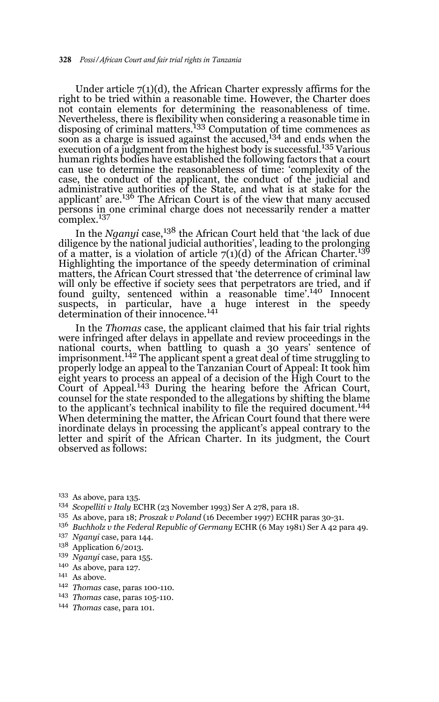Under article 7(1)(d), the African Charter expressly affirms for the right to be tried within a reasonable time. However, the Charter does not contain elements for determining the reasonableness of time. Nevertheless, there is flexibility when considering a reasonable time in<br>disposing of criminal matters.<sup>133</sup> Computation <u>of</u> time commences as soon as a charge is issued against the accused, $134$  and ends when the execution of a judgment from the highest body is successful.<sup>135</sup> Various human rights bodies have established the following factors that a court can use to determine the reasonableness of time: 'complexity of the case, the conduct of the applicant, the conduct of the judicial and administrative authorities of the State, and what is at stake for the applicant' are.<sup>136</sup> The African Court is of the view that many accused persons in one criminal charge does not necessarily render a matter complex.137

In the *Nganyi* case,<sup>138</sup> the African Court held that 'the lack of due diligence by the national judicial authorities', leading to the prolonging of a matter, is a violation of article  $7(1)(d)$  of the African Charter.<sup>139</sup> Highlighting the importance of the speedy determination of criminal matters, the African Court stressed that 'the deterrence of criminal law will only be effective if society sees that perpetrators are tried, and if found guilty, sentenced within a reasonable time'.<sup>140</sup> Innocent suspects, in particular, have a huge interest in the speedy<br>determination of their innocence.<sup>141</sup>

In the *Thomas* case, the applicant claimed that his fair trial rights were infringed after delays in appellate and review proceedings in the national courts, when battling to quash a 30 years' sentence of<br>imprisonment.<sup>142</sup> The applicant spent a great deal of time struggling to properly lodge an appeal to the Tanzanian Court of Appeal: It took him eight years to process an appeal of a decision of the High Court to the Court of Appeal.143 During the hearing before the African Court, counsel for the state responded to the allegations by shifting the blame to the applicant's technical inability to file the required document.<sup>144</sup> When determining the matter, the African Court found that there were inordinate delays in processing the applicant's appeal contrary to the letter and spirit of the African Charter. In its judgment, the Court observed as follows:

- <sup>133</sup> As above, para 135.
- <sup>134</sup> *Scopelliti v Italy* ECHR (23 November 1993) Ser A 278, para 18.
- <sup>135</sup> As above, para 18; *Proszak v Poland* (16 December 1997) ECHR paras 30-31.
- <sup>136</sup> *Buchholz v the Federal Republic of Germany* ECHR (6 May 1981) Ser A 42 para 49.
- <sup>137</sup> *Nganyi* case, para 144.
- <sup>138</sup> Application 6/2013.
- <sup>139</sup> *Nganyi* case, para 155.
- <sup>140</sup> As above, para 127.
- $141$  As above.
- <sup>142</sup> *Thomas* case, paras 100-110.
- <sup>143</sup> *Thomas* case, paras 105-110.
- <sup>144</sup> *Thomas* case, para 101.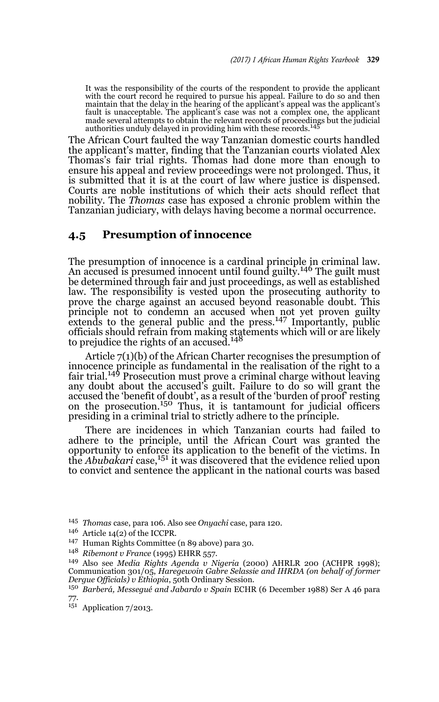It was the responsibility of the courts of the respondent to provide the applicant with the court record he required to pursue his appeal. Failure to do so and then maintain that the delay in the hearing of the applicant's appeal was the applicant's fault is unacceptable. The applicant's case was not a complex one, the applicant<br>made several attempts to obtain the relevant records of proceedings but the judicial<br>authorities unduly delayed in providing him with these r

The African Court faulted the way Tanzanian domestic courts handled the applicant's matter, finding that the Tanzanian courts violated Alex Thomas's fair trial rights. Thomas had done more than enough to ensure his appeal and review proceedings were not prolonged. Thus, it is submitted that it is at the court of law where justice is dispensed. Courts are noble institutions of which their acts should reflect that nobility. The *Thomas* case has exposed a chronic problem within the Tanzanian judiciary, with delays having become a normal occurrence.

#### **4.5 Presumption of innocence**

The presumption of innocence is a cardinal principle in criminal law. An accused is presumed innocent until found guilty.<sup>146</sup> The guilt must be determined through fair and just proceedings, as well as established law. The responsibility is vested upon the prosecuting authority to prove the charge against an accused beyond reasonable doubt. This principle not to condemn an accused when not yet proven guilty extends to the general public and the press.147 Importantly, public officials should refrain from making statements which will or are likely<br>to prejudice the rights of an accused.<sup>148</sup>

Article 7(1)(b) of the African Charter recognises the presumption of innocence principle as fundamental in the realisation of the right to a fair trial.149 Prosecution must prove a criminal charge without leaving any doubt about the accused's guilt. Failure to do so will grant the accused the 'benefit of doubt', as a result of the 'burden of proof' resting on the prosecution.<sup>150</sup> Thus, it is tantamount for judicial officers presiding in a criminal trial to strictly adhere to the principle.

There are incidences in which Tanzanian courts had failed to adhere to the principle, until the African Court was granted the opportunity to enforce its application to the benefit of the victims. In the *Abubakari* case,<sup>151</sup> it was discovered that the evidence relied upon to convict and sentence the applicant in the national courts was based

<sup>145</sup> *Thomas* case, para 106. Also see *Onyachi* case, para 120.

<sup>146</sup> Article 14(2) of the ICCPR.

<sup>147</sup> Human Rights Committee (n 89 above) para 30.

<sup>148</sup> *Ribemont v France* (1995) EHRR 557.

<sup>149</sup> Also see *Media Rights Agenda v Nigeria* (2000) AHRLR 200 (ACHPR 1998); Communication 301/05, *Haregewoin Gabre Selassie and IHRDA (on behalf of former Dergue Officials) v Ethiopia*, 50th Ordinary Session.

<sup>150</sup> *Barberá, Messegué and Jabardo v Spain* ECHR (6 December 1988) Ser A 46 para 77.

 $151$  Application 7/2013.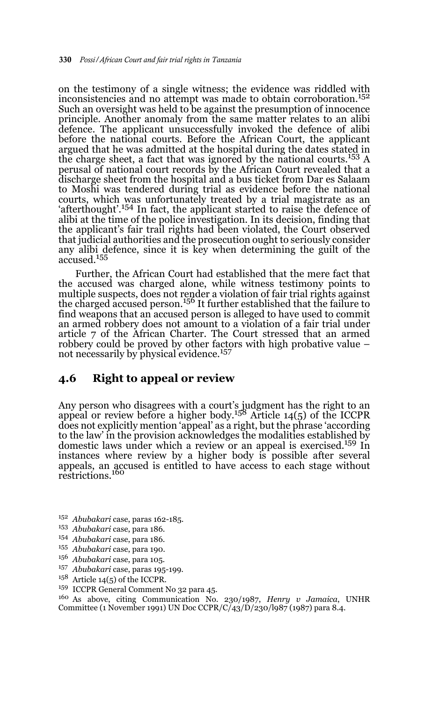on the testimony of a single witness; the evidence was riddled with inconsistencies and no attempt was made to obtain corroboration.152 Such an oversight was held to be against the presumption of innocence principle. Another anomaly from the same matter relates to an alibi defence. The applicant unsuccessfully invoked the defence of alibi before the national courts. Before the African Court, the applicant argued that he was admitted at the hospital during the dates stated in the charge sheet, a fact that was ignored by the national courts.153 A perusal of national court records by the African Court revealed that a discharge sheet from the hospital and a bus ticket from Dar es Salaam to Moshi was tendered during trial as evidence before the national courts, which was unfortunately treated by a trial magistrate as an 'afterthought'.154 In fact, the applicant started to raise the defence of alibi at the time of the police investigation. In its decision, finding that the applicant's fair trail rights had been violated, the Court observed that judicial authorities and the prosecution ought to seriously consider any alibi defence, since it is key when determining the guilt of the accused.<sup>155</sup>

Further, the African Court had established that the mere fact that the accused was charged alone, while witness testimony points to multiple suspects, does not render a violation of fair trial rights against the charged accused person.<sup>156</sup> It further established that the failure to find weapons that an accused person is alleged to have used to commit an armed robbery does not amount to a violation of a fair trial under article 7 of the African Charter. The Court stressed that an armed robbery could be proved by other factors with high probative value – not necessarily by physical evidence.157

### **4.6 Right to appeal or review**

Any person who disagrees with a court's judgment has the right to an appeal or review before a higher body.<sup>158</sup> Article  $14(5)$  of the ICCPR does not explicitly mention 'appeal' as a right, but the phrase 'according to the law' in the provision acknowledges the modalities established by domestic laws under which a review or an appeal is exercised.<sup>159</sup> In instances where review by a higher body is possible after several appeals, an accused is entitled to have access to each stage without<br>restrictions.<sup>160</sup>

- <sup>152</sup> *Abubakari* case, paras 162-185.
- <sup>153</sup> *Abubakari* case, para 186.
- <sup>154</sup> *Abubakari* case, para 186.
- <sup>155</sup> *Abubakari* case, para 190.
- <sup>156</sup> *Abubakari* case, para 105.
- <sup>157</sup> *Abubakari* case, paras 195-199.
- <sup>158</sup> Article 14(5) of the ICCPR.
- <sup>159</sup> ICCPR General Comment No 32 para 45.

<sup>160</sup> As above, citing Communication No. 230/1987, *Henry v Jamaica*, UNHR Committee (1 November 1991) UN Doc CCPR/C/43/D/230/l987 (1987) para 8.4.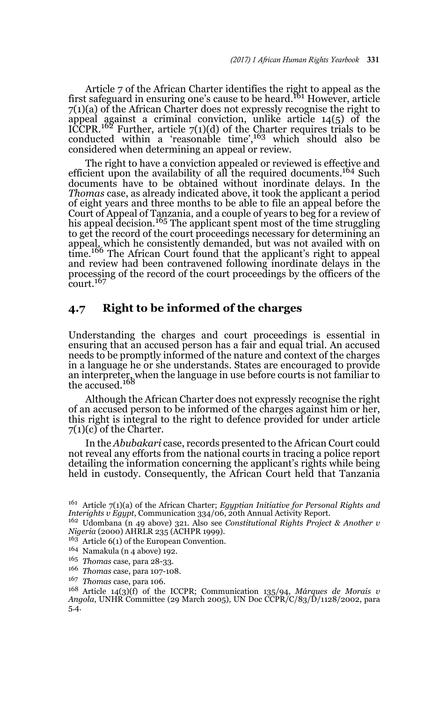Article  $7$  of the African Charter identifies the right to appeal as the first safeguard in ensuring one's cause to be heard.<sup>161</sup> However, article 7(1)(a) of the African Charter does not expressly recognise the right to appeal against a criminal conviction, unlike article 14(5) of the ICCPR.<sup>162</sup> Further, article  $7(1)(d)$  of the Charter requires trials to be conducted within a 'reasonable time',<sup>163</sup> which should also be considered when determining an appeal or review.

The right to have a conviction appealed or reviewed is effective and efficient upon the availability of all the required documents.<sup>164</sup> Such documents have to be obtained without inordinate delays. In the *Thomas* case, as already indicated above, it took the applicant a period of eight years and three months to be able to file an appeal before the Court of Appeal of Tanzania, and a couple of years to beg for a review of his appeal decision.<sup>165</sup> The applicant spent most of the time struggling to get the record of the court proceedings necessary for determining an appeal, which he consistently demanded, but was not availed with on<br>time.<sup>166</sup> The African Court found that the applicant's right to appeal and review had been contravened following inordinate delays in the processing of the record of the court proceedings by the officers of the court.<sup>167</sup>

#### **4.7 Right to be informed of the charges**

Understanding the charges and court proceedings is essential in ensuring that an accused person has a fair and equal trial. An accused needs to be promptly informed of the nature and context of the charges in a language he or she understands. States are encouraged to provide an interpreter, when the language in use before courts is not familiar to<br>the accused.<sup>168</sup>

Although the African Charter does not expressly recognise the right of an accused person to be informed of the charges against him or her, this right is integral to the right to defence provided for under article 7(1)(c) of the Charter.

In the *Abubakari* case, records presented to the African Court could not reveal any efforts from the national courts in tracing a police report detailing the information concerning the applicant's rights while being held in custody. Consequently, the African Court held that Tanzania

<sup>161</sup> Article 7(1)(a) of the African Charter; *Egyptian Initiative for Personal Rights and Interights v Egypt*, Communication 334/06, 20th Annual Activity Report.

<sup>162</sup> Udombana (n 49 above) 321. Also see *Constitutional Rights Project & Another v Nigeria* (2000) AHRLR 235 (ACHPR 1999).

 $163$  Article 6(1) of the European Convention.

<sup>164</sup> Namakula (n 4 above) 192.

<sup>165</sup> *Thomas* case, para 28-33.

<sup>166</sup> *Thomas* case, para 107-108.

<sup>167</sup> *Thomas* case, para 106.

<sup>168</sup> Article 14(3)(f) of the ICCPR; Communication 135/94, *Márques de Morais v Angola*, UNHR Committee (29 March 2005), UN Doc CCPR/C/83/D/1128/2002, para 5.4.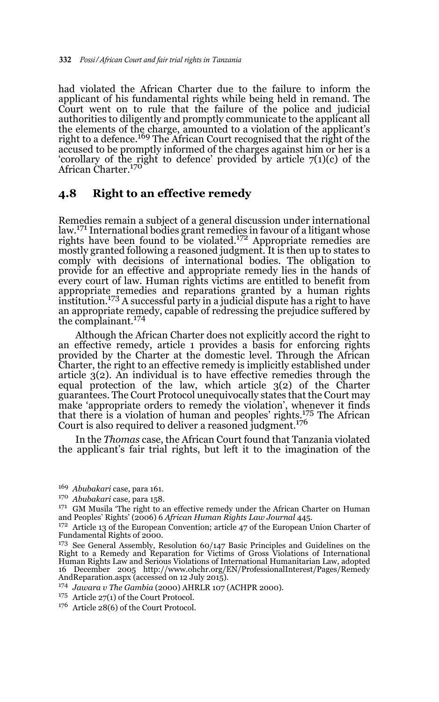had violated the African Charter due to the failure to inform the applicant of his fundamental rights while being held in remand. The Court went on to rule that the failure of the police and judicial authorities to diligently and promptly communicate to the applicant all the elements of the charge, amounted to a violation of the applicant's right to a defence.169 The African Court recognised that the right of the accused to be promptly informed of the charges against him or her is a 'corollary of the right to defence' provided by article 7(1)(c) of the African Charter.170

### **4.8 Right to an effective remedy**

Remedies remain a subject of a general discussion under international law.<sup>171</sup> International bodies grant remedies in favour of a litigant whose rights have been found to be violated.<sup>172</sup> Appropriate remedies are mostly granted following a reasoned judgment. It is then up to states to comply with decisions of international bodies. The obligation to provide for an effective and appropriate remedy lies in the hands of every court of law. Human rights victims are entitled to benefit from appropriate remedies and reparations granted by a human rights institution.<sup>173</sup> A successful party in a judicial dispute has a right to have an appropriate remedy, capable of redressing the prejudice suffered by the complainant.<sup>174</sup>

Although the African Charter does not explicitly accord the right to an effective remedy, article 1 provides a basis for enforcing rights provided by the Charter at the domestic level. Through the African Charter, the right to an effective remedy is implicitly established under article 3(2). An individual is to have effective remedies through the equal protection of the law, which article 3(2) of the Charter guarantees. The Court Protocol unequivocally states that the Court may make 'appropriate orders to remedy the violation', whenever it finds that there is a violation of human and peoples' rights.175 The African Court is also required to deliver a reasoned judgment.<sup>176</sup>

In the *Thomas* case, the African Court found that Tanzania violated the applicant's fair trial rights, but left it to the imagination of the

- <sup>169</sup> *Abubakari* case, para 161.
- <sup>170</sup> *Abubakari* case, para 158.

<sup>176</sup> Article 28(6) of the Court Protocol.

<sup>171</sup> GM Musila 'The right to an effective remedy under the African Charter on Human and Peoples' Rights' (2006) 6 *African Human Rights Law Journal* 445.

<sup>&</sup>lt;sup>172</sup> Article 13 of the European Convention; article 47 of the European Union Charter of Fundamental Rights of 2000.

<sup>&</sup>lt;sup>173</sup> See General Assembly, Resolution 60/147 Basic Principles and Guidelines on the Right to a Remedy and Reparation for Victims of Gross Violations of International Human Rights Law and Serious Violations of International Humanitarian Law, adopted 16 December 2005 http://www.ohchr.org/EN/ProfessionalInterest/Pages/Remedy AndReparation.aspx (accessed on 12 July 2015).

<sup>174</sup> *Jawara v The Gambia* (2000) AHRLR 107 (ACHPR 2000).

<sup>175</sup> Article 27(1) of the Court Protocol.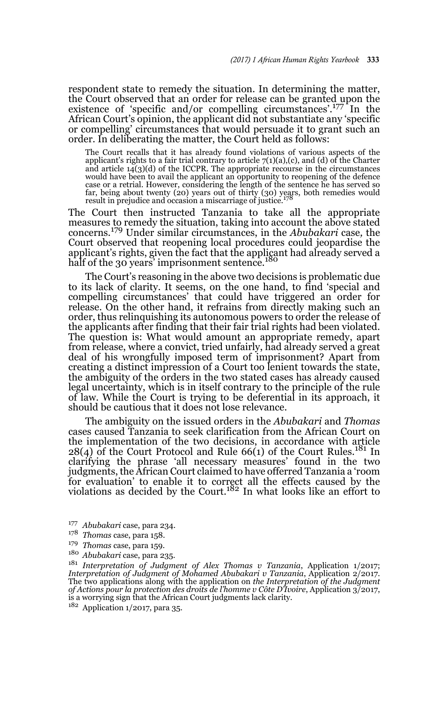respondent state to remedy the situation. In determining the matter, the Court observed that an order for release can be granted upon the existence of 'specific and/or compelling circumstances'.177 In the African Court's opinion, the applicant did not substantiate any 'specific or compelling' circumstances that would persuade it to grant such an order. In deliberating the matter, the Court held as follows:

The Court recalls that it has already found violations of various aspects of the applicant's rights to a fair trial contrary to article 7(1)(a),(c), and (d) of the Charter and article 14(3)(d) of the ICCPR. The appropriate recourse in the circumstances would have been to avail the applicant an opportunity to reopening of the defence case or a retrial. However, considering the length of the sentence he has served so<br>far, being about twenty (20) years out of thirty (30) years, both remedies would<br>result in prejudice and occasion a miscarriage of justice

The Court then instructed Tanzania to take all the appropriate measures to remedy the situation, taking into account the above stated concerns.179 Under similar circumstances, in the *Abubakari* case*,* the Court observed that reopening local procedures could jeopardise the applicant's rights, given the fact that the applicant had already served a<br>half of the 30 years' imprisonment sentence.<sup>180</sup>

The Court's reasoning in the above two decisions is problematic due to its lack of clarity. It seems, on the one hand, to find 'special and compelling circumstances' that could have triggered an order for release. On the other hand, it refrains from directly making such an order, thus relinquishing its autonomous powers to order the release of the applicants after finding that their fair trial rights had been violated. The question is: What would amount an appropriate remedy, apart from release, where a convict, tried unfairly, had already served a great deal of his wrongfully imposed term of imprisonment? Apart from creating a distinct impression of a Court too lenient towards the state, the ambiguity of the orders in the two stated cases has already caused legal uncertainty, which is in itself contrary to the principle of the rule of law. While the Court is trying to be deferential in its approach, it should be cautious that it does not lose relevance.

The ambiguity on the issued orders in the *Abubakari* and *Thomas* cases caused Tanzania to seek clarification from the African Court on the implementation of the two decisions, in accordance with article  $28(4)$  of the Court Protocol and Rule 66(1) of the Court Rules.<sup>181</sup> In clarifying the phrase 'all necessary measures' found in the two judgments, the African Court claimed to have offerred Tanzania a 'room for evaluation' to enable it to correct all the effects caused by the violations as decided by the Court.<sup>182</sup> In what looks like an effort to

- <sup>177</sup> *Abubakari* case, para 234.
- <sup>178</sup> *Thomas* case, para 158.
- <sup>179</sup> *Thomas* case, para 159.
- <sup>180</sup> *Abubakari* case, para 235.

<sup>181</sup> *Interpretation of Judgment of Alex Thomas v Tanzania*, Application 1/2017; *Interpretation of Judgment of Mohamed Abubakari v Tanzania*, Application 2/2017. The two applications along with the application on *the Interpretation of the Judgment of Actions pour la protection des droits de l'homme v Côte D'Ivoire*, Application 3/2017, is a worrying sign that the African Court judgments lack clarity.

<sup>182</sup> Application 1/2017, para 35.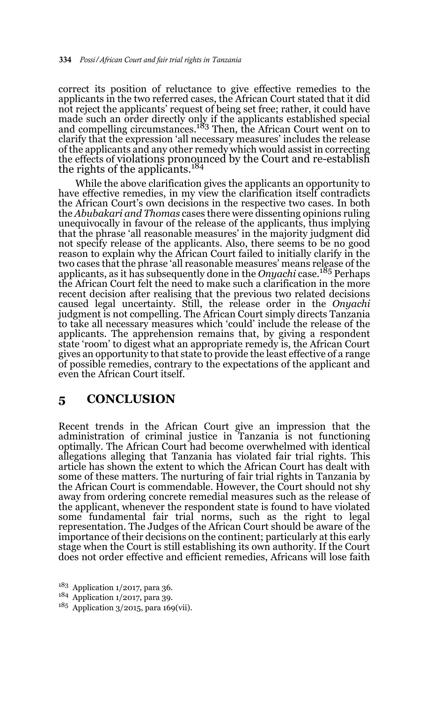correct its position of reluctance to give effective remedies to the applicants in the two referred cases, the African Court stated that it did not reject the applicants' request of being set free; rather, it could have made such an order directly only if the applicants established special<br>and compelling circumstances.<sup>183</sup> Then, the African Court went on to clarify that the expression 'all necessary measures' includes the release of the applicants and any other remedy which would assist in correcting the effects of violations pronounced by the Court and re-establish<br>the rights of the applicants.<sup>184</sup>

While the above clarification gives the applicants an opportunity to have effective remedies, in my view the clarification itself contradicts the African Court's own decisions in the respective two cases. In both the *Abubakari and Thomas* cases there were dissenting opinions ruling unequivocally in favour of the release of the applicants, thus implying that the phrase 'all reasonable measures' in the majority judgment did not specify release of the applicants. Also, there seems to be no good reason to explain why the African Court failed to initially clarify in the two cases that the phrase 'all reasonable measures' means release of the applicants, as it has subsequently done in the *Onyachi* case.185 Perhaps the African Court felt the need to make such a clarification in the more recent decision after realising that the previous two related decisions caused legal uncertainty. Still, the release order in the *Onyachi* judgment is not compelling. The African Court simply directs Tanzania to take all necessary measures which 'could' include the release of the applicants. The apprehension remains that, by giving a respondent state 'room' to digest what an appropriate remedy is, the African Court gives an opportunity to that state to provide the least effective of a range of possible remedies, contrary to the expectations of the applicant and even the African Court itself.

### **5 CONCLUSION**

Recent trends in the African Court give an impression that the administration of criminal justice in Tanzania is not functioning optimally. The African Court had become overwhelmed with identical allegations alleging that Tanzania has violated fair trial rights. This article has shown the extent to which the African Court has dealt with some of these matters. The nurturing of fair trial rights in Tanzania by the African Court is commendable. However, the Court should not shy away from ordering concrete remedial measures such as the release of the applicant, whenever the respondent state is found to have violated some fundamental fair trial norms, such as the right to legal representation. The Judges of the African Court should be aware of the importance of their decisions on the continent; particularly at this early stage when the Court is still establishing its own authority. If the Court does not order effective and efficient remedies, Africans will lose faith

<sup>183</sup> Application 1/2017, para 36.

<sup>184</sup> Application 1/2017, para 39.

 $185$  Application 3/2015, para 169(vii).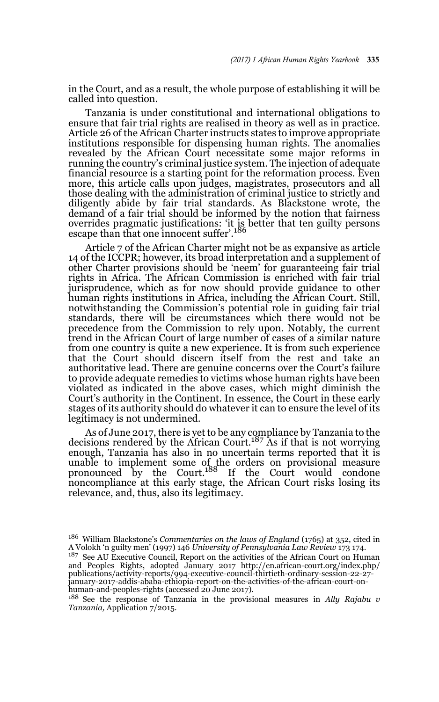in the Court, and as a result, the whole purpose of establishing it will be called into question.

Tanzania is under constitutional and international obligations to ensure that fair trial rights are realised in theory as well as in practice. Article 26 of the African Charter instructs states to improve appropriate institutions responsible for dispensing human rights. The anomalies revealed by the African Court necessitate some major reforms in running the country's criminal justice system. The injection of adequate financial resource is a starting point for the reformation process. Even more, this article calls upon judges, magistrates, prosecutors and all those dealing with the administration of criminal justice to strictly and diligently abide by fair trial standards. As Blackstone wrote, the demand of a fair trial should be informed by the notion that fairness overrides pragmatic justifications: 'it is better that ten guilty persons escape than that one innocent suffer'.<sup>186</sup>

Article 7 of the African Charter might not be as expansive as article 14 of the ICCPR; however, its broad interpretation and a supplement of other Charter provisions should be 'neem' for guaranteeing fair trial rights in Africa. The African Commission is enriched with fair trial jurisprudence, which as for now should provide guidance to other human rights institutions in Africa, including the African Court. Still, notwithstanding the Commission's potential role in guiding fair trial standards, there will be circumstances which there would not be precedence from the Commission to rely upon. Notably, the current trend in the African Court of large number of cases of a similar nature from one country is quite a new experience. It is from such experience that the Court should discern itself from the rest and take an authoritative lead. There are genuine concerns over the Court's failure to provide adequate remedies to victims whose human rights have been violated as indicated in the above cases, which might diminish the Court's authority in the Continent. In essence, the Court in these early stages of its authority should do whatever it can to ensure the level of its legitimacy is not undermined.

As of June 2017, there is yet to be any compliance by Tanzania to the decisions rendered by the African Court.187 As if that is not worrying enough, Tanzania has also in no uncertain terms reported that it is unable to implement some of the orders on provisional measure<br>pronounced by the Court.<sup>188</sup> If the Court would condone noncompliance at this early stage, the African Court risks losing its relevance, and, thus, also its legitimacy.

<sup>186</sup> William Blackstone's *Commentaries on the laws of England* (1765) at 352, cited in A Volokh 'n guilty men' (1997) 146 *University of Pennsylvania Law Review* 173 174.

<sup>&</sup>lt;sup>187</sup> See AU Executive Council, Report on the activities of the African Court on Human and Peoples Rights, adopted January 2017 http://en.african-court.org/index.php/ publications/activity-reports/994-executive-council-thirtieth-ordinary-session-22-27 january-2017-addis-ababa-ethiopia-report-on-the-activities-of-the-african-court-onhuman-and-peoples-rights (accessed 20 June 2017).

<sup>188</sup> See the response of Tanzania in the provisional measures in *Ally Rajabu v Tanzania,* Application 7/2015.